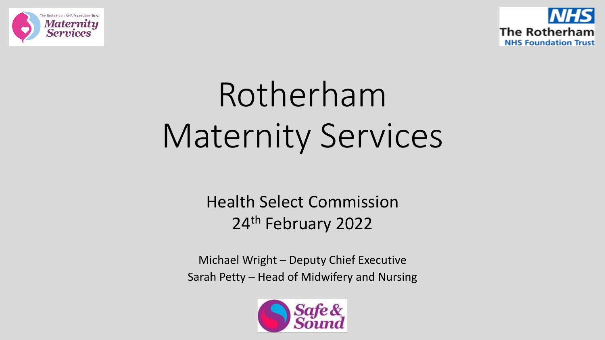



# Rotherham Maternity Services

Health Select Commission 24<sup>th</sup> February 2022

Michael Wright – Deputy Chief Executive Sarah Petty – Head of Midwifery and Nursing

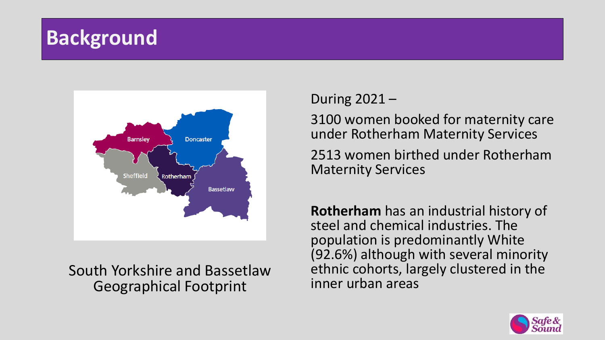## **Background**



### South Yorkshire and Bassetlaw Geographical Footprint

### During 2021 –

3100 women booked for maternity care under Rotherham Maternity Services

2513 women birthed under Rotherham Maternity Services

**Rotherham** has an industrial history of steel and chemical industries. The population is predominantly White (92.6%) although with several minority ethnic cohorts, largely clustered in the inner urban areas

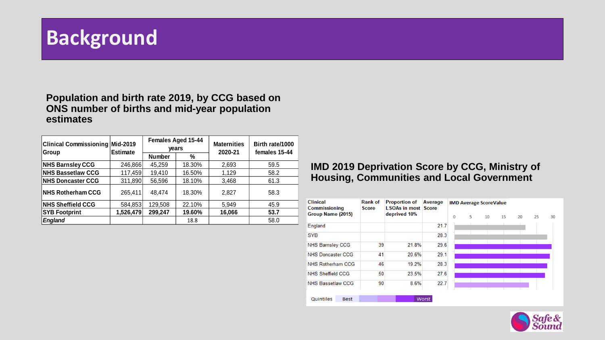## **Background**

#### **Population and birth rate 2019, by CCG based on ONS number of births and mid-year population estimates**

| <b>Clinical Commissioning</b><br>Group | Mid-2019<br><b>Estimate</b> |               | <b>Females Aged 15-44</b><br>years | <b>Maternities</b><br>2020-21 | Birth rate/1000<br>females 15-44 |  |
|----------------------------------------|-----------------------------|---------------|------------------------------------|-------------------------------|----------------------------------|--|
|                                        |                             | <b>Number</b> | %                                  |                               |                                  |  |
| <b>NHS Barnsley CCG</b>                | 246,866                     | 45,259        | 18.30%                             | 2,693                         | 59.5                             |  |
| <b>NHS Bassetlaw CCG</b>               | 117,459                     | 19,410        | 16.50%                             | 1,129                         | 58.2                             |  |
| <b>NHS Doncaster CCG</b>               | 311,890                     | 56,596        | 18.10%                             | 3,468                         | 61.3                             |  |
| NHS Rotherham CCG                      | 265,411                     | 48,474        | 18.30%                             | 2.827                         | 58.3                             |  |
| <b>NHS Sheffield CCG</b>               | 584,853                     | 129,508       | 22.10%                             | 5,949                         | 45.9                             |  |
| <b>SYB Footprint</b>                   | 1,526,479                   | 299,247       | 19.60%                             | 16,066                        | 53.7                             |  |
| <b>England</b>                         |                             |               | 18.8                               |                               | 58.0                             |  |

### **IMD 2019 Deprivation Score by CCG, Ministry of Housing, Communities and Local Government**

| <b>Clinical</b><br>Commissioning | <b>Rank of</b><br><b>Score</b> | <b>Proportion of</b><br><b>LSOAs in most Score</b> | Average | <b>IMD Average ScoreValue</b> |  |   |    |    |    |    |    |
|----------------------------------|--------------------------------|----------------------------------------------------|---------|-------------------------------|--|---|----|----|----|----|----|
| Group Name (2015)                |                                | deprived 10%                                       |         | $\mathbf 0$                   |  | 5 | 10 | 15 | 20 | 25 | 30 |
| England                          |                                |                                                    | 21.7    |                               |  |   |    |    |    |    |    |
| <b>SYB</b>                       |                                |                                                    | 28.3    |                               |  |   |    |    |    |    |    |
| <b>NHS Barnsley CCG</b>          | 39                             | 21.8%                                              | 29.6    |                               |  |   |    |    |    |    |    |
| <b>NHS Doncaster CCG</b>         | 41                             | 20.6%                                              | 29.1    |                               |  |   |    |    |    |    |    |
| NHS Rotherham CCG                | 46                             | 19.2%                                              | 28.3    |                               |  |   |    |    |    |    |    |
| <b>NHS Sheffield CCG</b>         | 50                             | 23.5%                                              | 27.6    |                               |  |   |    |    |    |    |    |
| <b>NHS Bassetlaw CCG</b>         | 90                             | 8.6%                                               | 22.7    |                               |  |   |    |    |    |    |    |
|                                  |                                |                                                    |         |                               |  |   |    |    |    |    |    |
| Quintiles<br><b>Best</b>         |                                |                                                    | Worst   |                               |  |   |    |    |    |    |    |

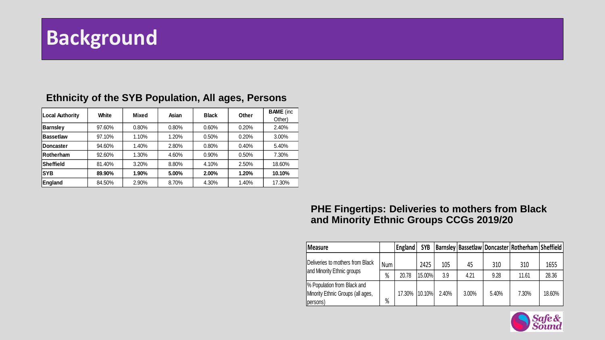## **Background**

| Local Authority   | White  | Mixed | Asian | <b>Black</b> | Other | <b>BAME</b> (inc. |
|-------------------|--------|-------|-------|--------------|-------|-------------------|
|                   |        |       |       |              |       | Other)            |
| <b>Barnsley</b>   | 97.60% | 0.80% | 0.80% | 0.60%        | 0.20% | 2.40%             |
| <b>Bassetlaw</b>  | 97.10% | 1.10% | 1.20% | 0.50%        | 0.20% | 3.00%             |
| <b>IDoncaster</b> | 94.60% | 1.40% | 2.80% | 0.80%        | 0.40% | 5.40%             |
| <b>Rotherham</b>  | 92.60% | 1.30% | 4.60% | 0.90%        | 0.50% | 7.30%             |
| Sheffield         | 81.40% | 3.20% | 8.80% | 4.10%        | 2.50% | 18.60%            |
| <b>SYB</b>        | 89.90% | 1.90% | 5.00% | 2.00%        | 1.20% | 10.10%            |
| England           | 84.50% | 2.90% | 8.70% | 4.30%        | 1.40% | 17.30%            |

### **Ethnicity of the SYB Population, All ages, Persons**

### **PHE Fingertips: Deliveries to mothers from Black and Minority Ethnic Groups CCGs 2019/20**

| Measure                                                                       |     | England | <b>SYB</b> |       |       |       | Barnsley   Bassetlaw   Doncaster   Rotherham   Sheffield |        |
|-------------------------------------------------------------------------------|-----|---------|------------|-------|-------|-------|----------------------------------------------------------|--------|
| Deliveries to mothers from Black                                              | Num |         | 2425       | 105   | 45    | 310   | 310                                                      | 1655   |
| and Minority Ethnic groups                                                    | %   | 20.78   | 15.00%     | 3.9   | 4.21  | 9.28  | 11.61                                                    | 28.36  |
| % Population from Black and<br>Minority Ethnic Groups (all ages,<br>(persons) | %   | 17.30%  | 10.10%     | 2.40% | 3.00% | 5.40% | 7.30%                                                    | 18.60% |

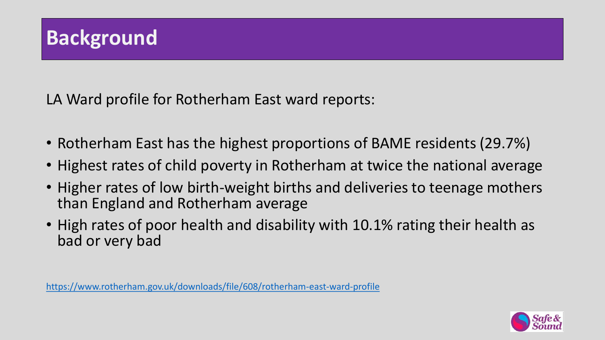LA Ward profile for Rotherham East ward reports:

- Rotherham East has the highest proportions of BAME residents (29.7%)
- Highest rates of child poverty in Rotherham at twice the national average
- Higher rates of low birth-weight births and deliveries to teenage mothers than England and Rotherham average
- High rates of poor health and disability with 10.1% rating their health as bad or very bad

<https://www.rotherham.gov.uk/downloads/file/608/rotherham-east-ward-profile>

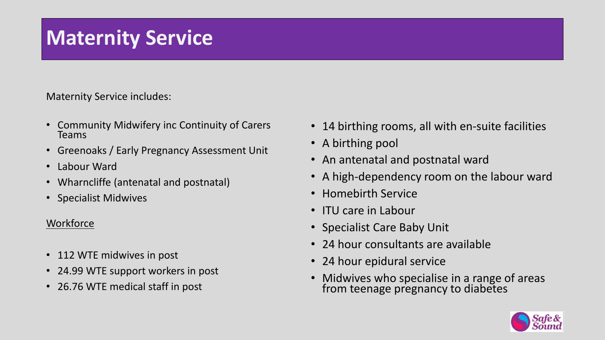### watermty **Maternity Service**

Maternity Service includes:

- Community Midwifery inc Continuity of Carers Teams
- Greenoaks / Early Pregnancy Assessment Unit
- Labour Ward
- Wharncliffe (antenatal and postnatal)
- Specialist Midwives

### **Workforce**

- 112 WTE midwives in post
- 24.99 WTE support workers in post
- 26.76 WTE medical staff in post
- 14 birthing rooms, all with en-suite facilities
- A birthing pool
- An antenatal and postnatal ward
- A high-dependency room on the labour ward
- Homebirth Service
- ITU care in Labour
- Specialist Care Baby Unit
- 24 hour consultants are available
- 24 hour epidural service
- Midwives who specialise in a range of areas from teenage pregnancy to diabetes

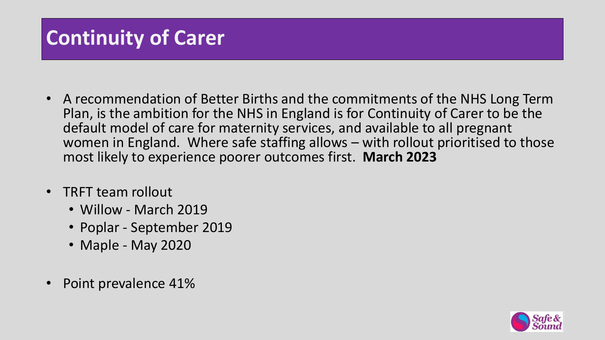## **Continuity of Carer**

- A recommendation of Better Births and the commitments of the NHS Long Term Plan, is the ambition for the NHS in England is for Continuity of Carer to be the default model of care for maternity services, and available to all pregnant women in England. Where safe staffing allows – with rollout prioritised to those most likely to experience poorer outcomes first. **March 2023**
- TRFT team rollout
	- Willow March 2019
	- Poplar September 2019
	- Maple May 2020
- Point prevalence 41%

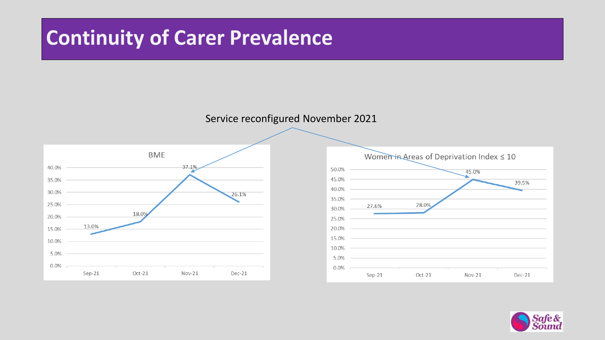## **Continuity of Carer Prevalence**

### Service reconfigured November 2021





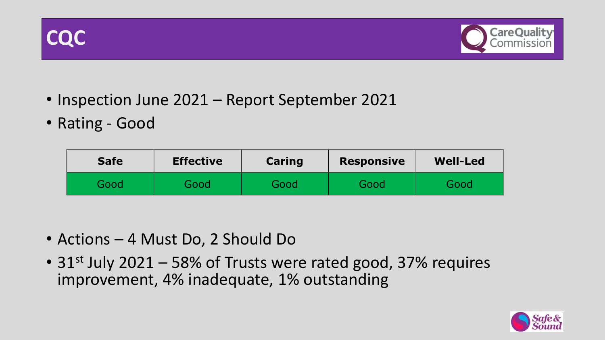



- Inspection June 2021 Report September 2021
- Rating Good

| <b>Safe</b> | <b>Effective</b> | Caring | <b>Responsive</b> | <b>Well-Led</b> |  |
|-------------|------------------|--------|-------------------|-----------------|--|
| Good        | Good             | Good   | Good              | Good            |  |

- Actions 4 Must Do, 2 Should Do
- 31<sup>st</sup> July 2021 58% of Trusts were rated good, 37% requires improvement, 4% inadequate, 1% outstanding

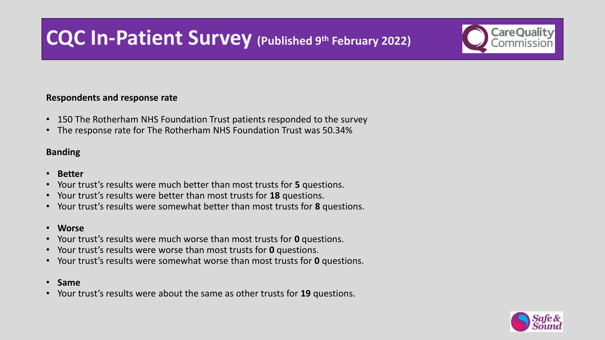## **CQC In-Patient Survey (Published 9th February 2022)**

#### **Respondents and response rate**

- 150 The Rotherham NHS Foundation Trust patients responded to the survey
- The response rate for The Rotherham NHS Foundation Trust was 50.34%

#### **Banding**

- **Better**
- Your trust's results were much better than most trusts for **5** questions.
- Your trust's results were better than most trusts for **18** questions.
- Your trust's results were somewhat better than most trusts for **8** questions.
- **Worse**
- Your trust's results were much worse than most trusts for **0** questions.
- Your trust's results were worse than most trusts for **0** questions.
- Your trust's results were somewhat worse than most trusts for **0** questions.
- **Same**
- Your trust's results were about the same as other trusts for **19** questions.

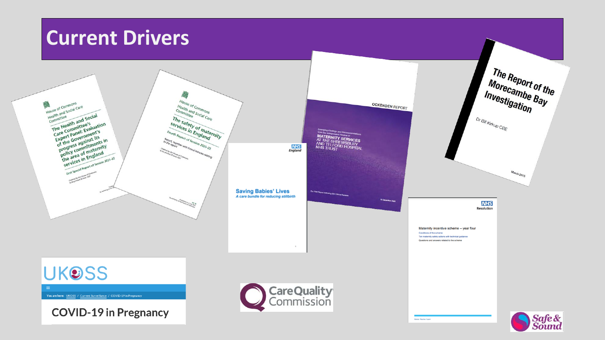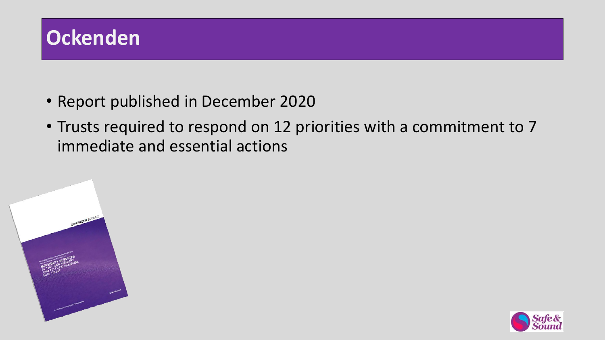

- Report published in December 2020
- Trusts required to respond on 12 priorities with a commitment to 7 immediate and essential actions



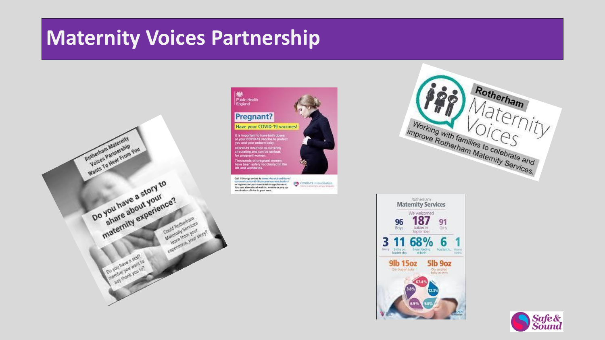## **Maternity Voices Partnership**





Call 119 or go online to www.nho.uk/conditions/ Covid-19 immunikation coronaulrus-covid-ré/coronautrus-vaccination/ to register for your vaccination appointment. You can also attend walk in, mobile or pop up vaccination clinics in your arcs.





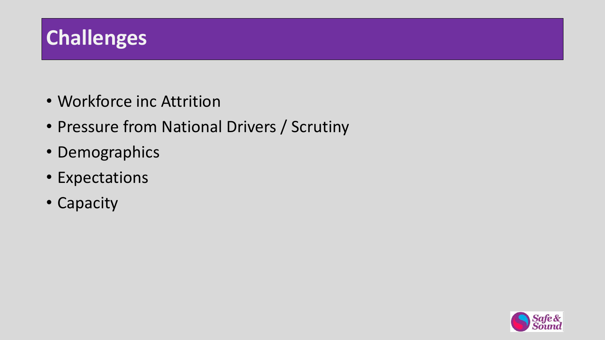

- Workforce inc Attrition
- Pressure from National Drivers / Scrutiny
- Demographics
- Expectations
- Capacity

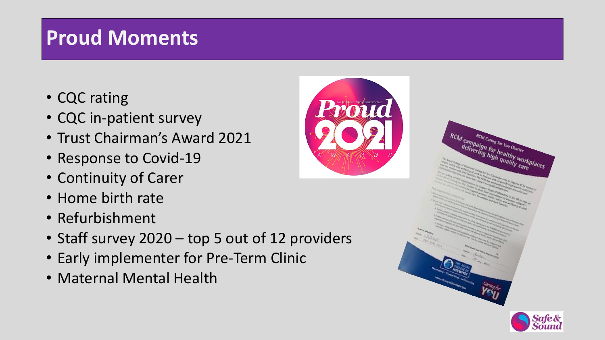## **Proud Moments**

- CQC rating
- CQC in-patient survey
- Trust Chairman's Award 2021
- Response to Covid-19
- Continuity of Carer
- Home birth rate
- Refurbishment
- Staff survey 2020 top 5 out of 12 providers
- Early implementer for Pre-Term Clinic
- Maternal Mental Health